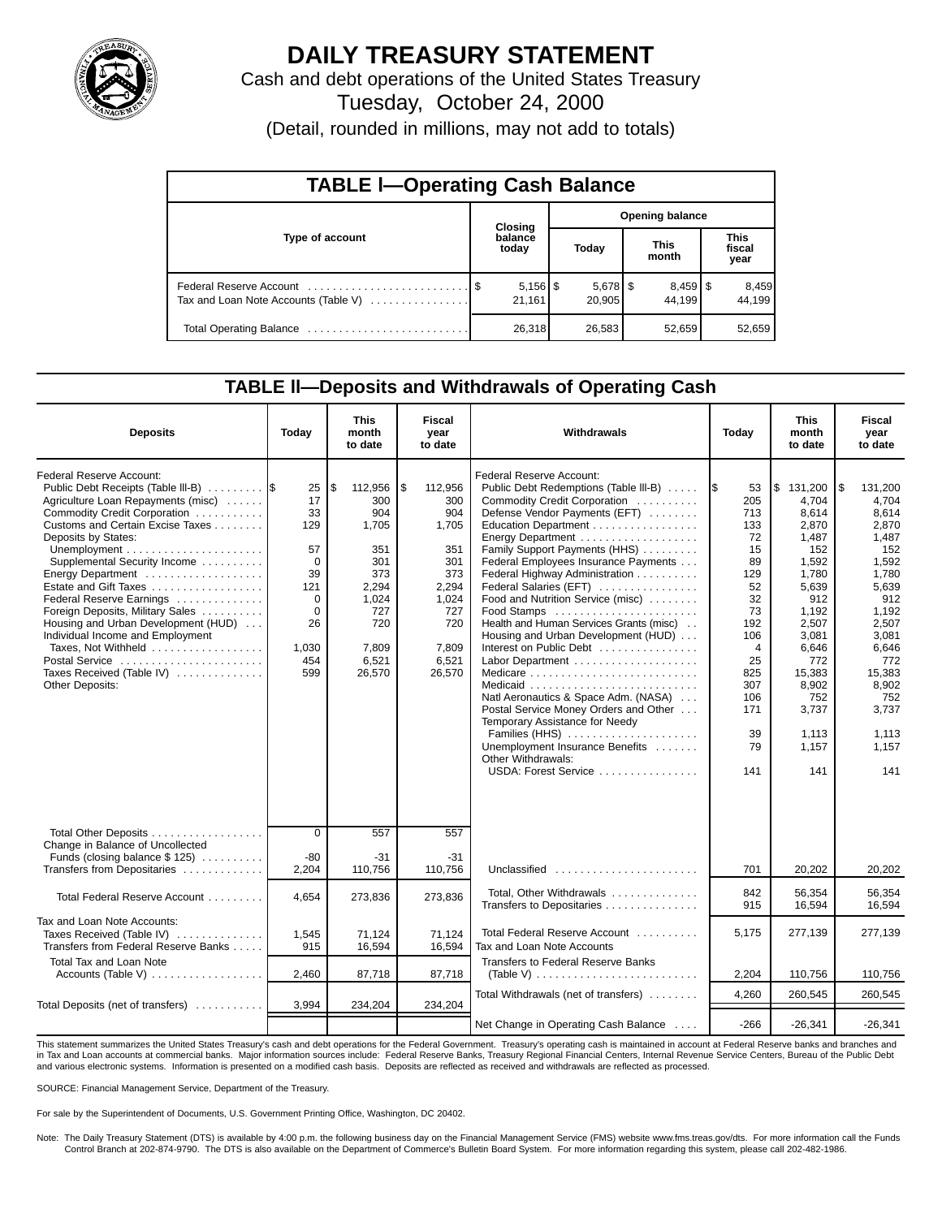

# **DAILY TREASURY STATEMENT**

Cash and debt operations of the United States Treasury

Tuesday, October 24, 2000

(Detail, rounded in millions, may not add to totals)

| <b>TABLE I-Operating Cash Balance</b> |  |                                 |                        |                      |  |                      |                               |                 |  |  |
|---------------------------------------|--|---------------------------------|------------------------|----------------------|--|----------------------|-------------------------------|-----------------|--|--|
|                                       |  | Closing                         | <b>Opening balance</b> |                      |  |                      |                               |                 |  |  |
| Type of account                       |  | balance<br>today                |                        | Today                |  | <b>This</b><br>month | <b>This</b><br>fiscal<br>year |                 |  |  |
| Tax and Loan Note Accounts (Table V)  |  | $5,156$ $\frac{1}{3}$<br>21,161 |                        | $5,678$ \$<br>20.905 |  | $8,459$ \$<br>44.199 |                               | 8,459<br>44.199 |  |  |
| Total Operating Balance               |  | 26,318                          |                        | 26,583               |  | 52,659               |                               | 52,659          |  |  |

### **TABLE ll—Deposits and Withdrawals of Operating Cash**

| <b>Deposits</b>                                                                                                                                                                                                                                                                                                                                                                                                                                                                              | Today                                                                                              | <b>This</b><br>month<br>to date                                                                                       | Fiscal<br>vear<br>to date                                                                                             | Withdrawals                                                                                                                                                                                                                                                                                                                                                                                                                                                                                                                                                                                                                                                                                                  | Today                                                                                                                                             | <b>This</b><br>month<br>to date                                                                                                                                                               |                                                                                                                                                                                                     |
|----------------------------------------------------------------------------------------------------------------------------------------------------------------------------------------------------------------------------------------------------------------------------------------------------------------------------------------------------------------------------------------------------------------------------------------------------------------------------------------------|----------------------------------------------------------------------------------------------------|-----------------------------------------------------------------------------------------------------------------------|-----------------------------------------------------------------------------------------------------------------------|--------------------------------------------------------------------------------------------------------------------------------------------------------------------------------------------------------------------------------------------------------------------------------------------------------------------------------------------------------------------------------------------------------------------------------------------------------------------------------------------------------------------------------------------------------------------------------------------------------------------------------------------------------------------------------------------------------------|---------------------------------------------------------------------------------------------------------------------------------------------------|-----------------------------------------------------------------------------------------------------------------------------------------------------------------------------------------------|-----------------------------------------------------------------------------------------------------------------------------------------------------------------------------------------------------|
| Federal Reserve Account:<br>Public Debt Receipts (Table III-B)<br>Agriculture Loan Repayments (misc)<br>Commodity Credit Corporation<br>Customs and Certain Excise Taxes<br>Deposits by States:<br>Supplemental Security Income<br>Estate and Gift Taxes<br>Federal Reserve Earnings<br>Foreign Deposits, Military Sales<br>Housing and Urban Development (HUD)<br>Individual Income and Employment<br>Taxes. Not Withheld<br>Postal Service<br>Taxes Received (Table IV)<br>Other Deposits: | 25<br>17<br>33<br>129<br>57<br>$\Omega$<br>39<br>121<br>0<br>$\Omega$<br>26<br>1,030<br>454<br>599 | 112.956<br>\$<br>300<br>904<br>1,705<br>351<br>301<br>373<br>2,294<br>1,024<br>727<br>720<br>7,809<br>6,521<br>26,570 | \$<br>112.956<br>300<br>904<br>1,705<br>351<br>301<br>373<br>2,294<br>1,024<br>727<br>720<br>7.809<br>6,521<br>26,570 | Federal Reserve Account:<br>Public Debt Redemptions (Table III-B)<br>Commodity Credit Corporation<br>Defense Vendor Payments (EFT)<br>Education Department<br>Energy Department<br>Family Support Payments (HHS)<br>Federal Employees Insurance Payments<br>Federal Highway Administration<br>Federal Salaries (EFT)<br>Food and Nutrition Service (misc)<br>Food Stamps<br>Health and Human Services Grants (misc).<br>Housing and Urban Development (HUD)<br>Interest on Public Debt<br>Natl Aeronautics & Space Adm. (NASA)<br>Postal Service Money Orders and Other<br>Temporary Assistance for Needy<br>Families (HHS)<br>Unemployment Insurance Benefits<br>Other Withdrawals:<br>USDA: Forest Service | I\$<br>53<br>205<br>713<br>133<br>72<br>15<br>89<br>129<br>52<br>32<br>73<br>192<br>106<br>4<br>25<br>825<br>307<br>106<br>171<br>39<br>79<br>141 | \$131.200<br>4.704<br>8,614<br>2,870<br>1,487<br>152<br>1,592<br>1,780<br>5,639<br>912<br>1.192<br>2.507<br>3.081<br>6,646<br>772<br>15,383<br>8,902<br>752<br>3,737<br>1.113<br>1.157<br>141 | l \$<br>131.200<br>4.704<br>8,614<br>2,870<br>1,487<br>152<br>1,592<br>1,780<br>5,639<br>912<br>1.192<br>2.507<br>3.081<br>6.646<br>772<br>15,383<br>8,902<br>752<br>3,737<br>1,113<br>1.157<br>141 |
| Total Other Deposits<br>Change in Balance of Uncollected<br>Funds (closing balance \$125)<br>Transfers from Depositaries                                                                                                                                                                                                                                                                                                                                                                     | $\overline{0}$<br>$-80$<br>2,204                                                                   | 557<br>-31<br>110,756                                                                                                 | 557<br>$-31$<br>110,756                                                                                               | Unclassified                                                                                                                                                                                                                                                                                                                                                                                                                                                                                                                                                                                                                                                                                                 | 701                                                                                                                                               | 20,202                                                                                                                                                                                        | 20,202                                                                                                                                                                                              |
| Total Federal Reserve Account                                                                                                                                                                                                                                                                                                                                                                                                                                                                | 4,654                                                                                              | 273,836                                                                                                               | 273,836                                                                                                               | Total. Other Withdrawals<br>Transfers to Depositaries                                                                                                                                                                                                                                                                                                                                                                                                                                                                                                                                                                                                                                                        | 842<br>915                                                                                                                                        | 56.354<br>16.594                                                                                                                                                                              | 56.354<br>16.594                                                                                                                                                                                    |
| Tax and Loan Note Accounts:<br>Taxes Received (Table IV)<br>Transfers from Federal Reserve Banks<br>Total Tax and Loan Note                                                                                                                                                                                                                                                                                                                                                                  | 1,545<br>915                                                                                       | 71,124<br>16,594                                                                                                      | 71,124<br>16,594                                                                                                      | Total Federal Reserve Account<br>Tax and Loan Note Accounts<br>Transfers to Federal Reserve Banks                                                                                                                                                                                                                                                                                                                                                                                                                                                                                                                                                                                                            | 5.175                                                                                                                                             | 277,139                                                                                                                                                                                       | 277,139                                                                                                                                                                                             |
|                                                                                                                                                                                                                                                                                                                                                                                                                                                                                              | 2,460                                                                                              | 87,718                                                                                                                | 87,718                                                                                                                | (Table V) $\ldots \ldots \ldots \ldots \ldots \ldots \ldots \ldots$                                                                                                                                                                                                                                                                                                                                                                                                                                                                                                                                                                                                                                          | 2,204                                                                                                                                             | 110,756                                                                                                                                                                                       | 110,756                                                                                                                                                                                             |
| Total Deposits (net of transfers)                                                                                                                                                                                                                                                                                                                                                                                                                                                            | 3,994                                                                                              | 234,204                                                                                                               | 234,204                                                                                                               | Total Withdrawals (net of transfers)                                                                                                                                                                                                                                                                                                                                                                                                                                                                                                                                                                                                                                                                         | 4,260                                                                                                                                             | 260,545                                                                                                                                                                                       | 260,545                                                                                                                                                                                             |
|                                                                                                                                                                                                                                                                                                                                                                                                                                                                                              |                                                                                                    |                                                                                                                       |                                                                                                                       | Net Change in Operating Cash Balance                                                                                                                                                                                                                                                                                                                                                                                                                                                                                                                                                                                                                                                                         | $-266$                                                                                                                                            | $-26,341$                                                                                                                                                                                     | $-26,341$                                                                                                                                                                                           |

This statement summarizes the United States Treasury's cash and debt operations for the Federal Government. Treasury's operating cash is maintained in account at Federal Reserve banks and branches and in Tax and Loan accounts at commercial banks. Major information sources include: Federal Reserve Banks, Treasury Regional Financial Centers, Internal Revenue Service Centers, Bureau of the Public Debt<br>and various electroni

SOURCE: Financial Management Service, Department of the Treasury.

For sale by the Superintendent of Documents, U.S. Government Printing Office, Washington, DC 20402.

Note: The Daily Treasury Statement (DTS) is available by 4:00 p.m. the following business day on the Financial Management Service (FMS) website www.fms.treas.gov/dts. For more information call the Funds<br>Control Branch at 2